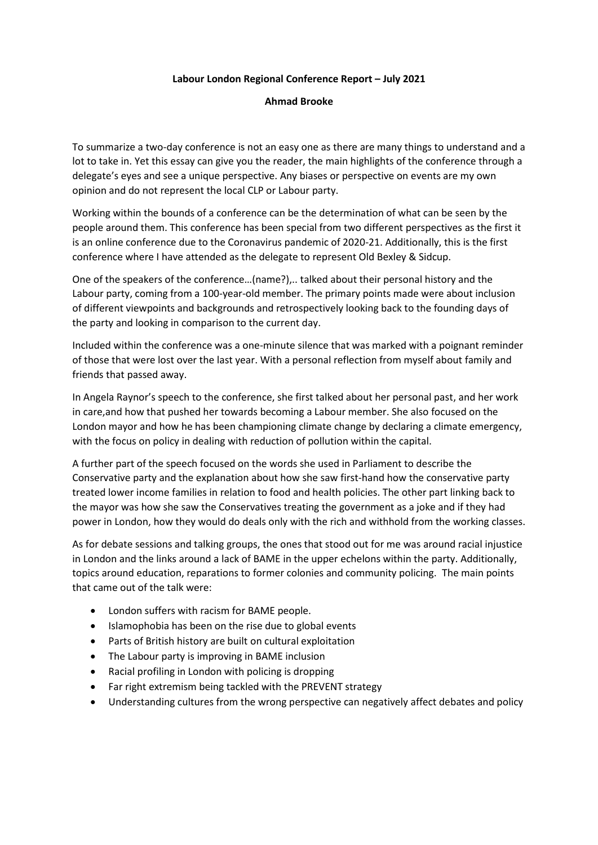## **Labour London Regional Conference Report – July 2021**

## **Ahmad Brooke**

To summarize a two-day conference is not an easy one as there are many things to understand and a lot to take in. Yet this essay can give you the reader, the main highlights of the conference through a delegate's eyes and see a unique perspective. Any biases or perspective on events are my own opinion and do not represent the local CLP or Labour party.

Working within the bounds of a conference can be the determination of what can be seen by the people around them. This conference has been special from two different perspectives as the first it is an online conference due to the Coronavirus pandemic of 2020-21. Additionally, this is the first conference where I have attended as the delegate to represent Old Bexley & Sidcup.

One of the speakers of the conference…(name?),.. talked about their personal history and the Labour party, coming from a 100-year-old member. The primary points made were about inclusion of different viewpoints and backgrounds and retrospectively looking back to the founding days of the party and looking in comparison to the current day.

Included within the conference was a one-minute silence that was marked with a poignant reminder of those that were lost over the last year. With a personal reflection from myself about family and friends that passed away.

In Angela Raynor's speech to the conference, she first talked about her personal past, and her work in care,and how that pushed her towards becoming a Labour member. She also focused on the London mayor and how he has been championing climate change by declaring a climate emergency, with the focus on policy in dealing with reduction of pollution within the capital.

A further part of the speech focused on the words she used in Parliament to describe the Conservative party and the explanation about how she saw first-hand how the conservative party treated lower income families in relation to food and health policies. The other part linking back to the mayor was how she saw the Conservatives treating the government as a joke and if they had power in London, how they would do deals only with the rich and withhold from the working classes.

As for debate sessions and talking groups, the ones that stood out for me was around racial injustice in London and the links around a lack of BAME in the upper echelons within the party. Additionally, topics around education, reparations to former colonies and community policing. The main points that came out of the talk were:

- London suffers with racism for BAME people.
- Islamophobia has been on the rise due to global events
- Parts of British history are built on cultural exploitation
- The Labour party is improving in BAME inclusion
- Racial profiling in London with policing is dropping
- Far right extremism being tackled with the PREVENT strategy
- Understanding cultures from the wrong perspective can negatively affect debates and policy